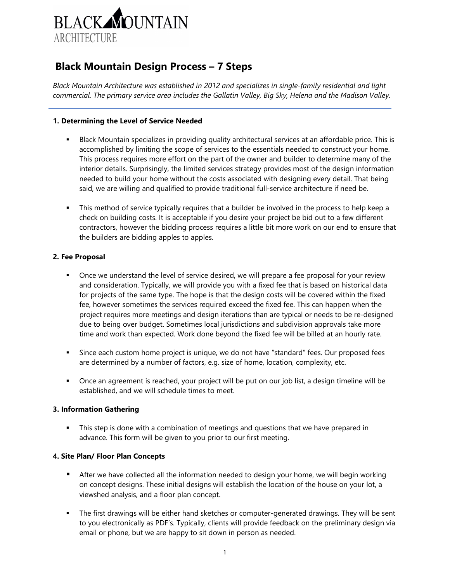

# **Black Mountain Design Process – 7 Steps**

*Black Mountain Architecture was established in 2012 and specializes in single-family residential and light commercial. The primary service area includes the Gallatin Valley, Big Sky, Helena and the Madison Valley.* 

### **1. Determining the Level of Service Needed**

- Black Mountain specializes in providing quality architectural services at an affordable price. This is accomplished by limiting the scope of services to the essentials needed to construct your home. This process requires more effort on the part of the owner and builder to determine many of the interior details. Surprisingly, the limited services strategy provides most of the design information needed to build your home without the costs associated with designing every detail. That being said, we are willing and qualified to provide traditional full-service architecture if need be.
- This method of service typically requires that a builder be involved in the process to help keep a check on building costs. It is acceptable if you desire your project be bid out to a few different contractors, however the bidding process requires a little bit more work on our end to ensure that the builders are bidding apples to apples.

## **2. Fee Proposal**

- Once we understand the level of service desired, we will prepare a fee proposal for your review and consideration. Typically, we will provide you with a fixed fee that is based on historical data for projects of the same type. The hope is that the design costs will be covered within the fixed fee, however sometimes the services required exceed the fixed fee. This can happen when the project requires more meetings and design iterations than are typical or needs to be re-designed due to being over budget. Sometimes local jurisdictions and subdivision approvals take more time and work than expected. Work done beyond the fixed fee will be billed at an hourly rate.
- Since each custom home project is unique, we do not have "standard" fees. Our proposed fees are determined by a number of factors, e.g. size of home, location, complexity, etc.
- Once an agreement is reached, your project will be put on our job list, a design timeline will be established, and we will schedule times to meet.

#### **3. Information Gathering**

**This step is done with a combination of meetings and questions that we have prepared in** advance. This form will be given to you prior to our first meeting.

#### **4. Site Plan/ Floor Plan Concepts**

- After we have collected all the information needed to design your home, we will begin working on concept designs. These initial designs will establish the location of the house on your lot, a viewshed analysis, and a floor plan concept.
- The first drawings will be either hand sketches or computer-generated drawings. They will be sent to you electronically as PDF's. Typically, clients will provide feedback on the preliminary design via email or phone, but we are happy to sit down in person as needed.